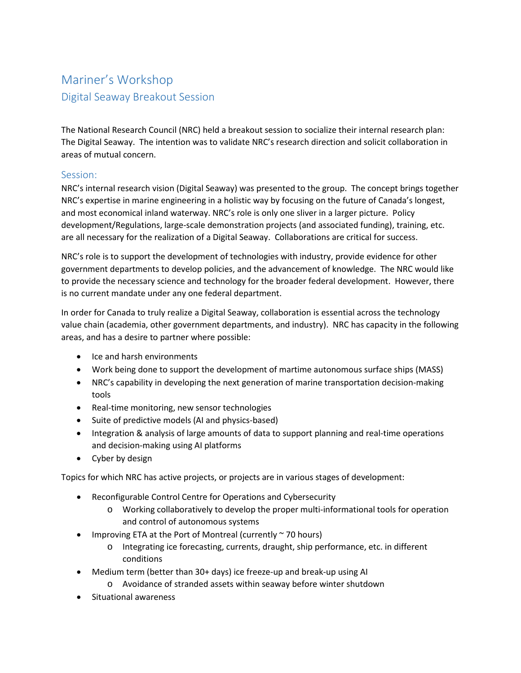## Mariner's Workshop Digital Seaway Breakout Session

The National Research Council (NRC) held a breakout session to socialize their internal research plan: The Digital Seaway. The intention was to validate NRC's research direction and solicit collaboration in areas of mutual concern.

## Session:

NRC's internal research vision (Digital Seaway) was presented to the group. The concept brings together NRC's expertise in marine engineering in a holistic way by focusing on the future of Canada's longest, and most economical inland waterway. NRC's role is only one sliver in a larger picture. Policy development/Regulations, large-scale demonstration projects (and associated funding), training, etc. are all necessary for the realization of a Digital Seaway. Collaborations are critical for success.

NRC's role is to support the development of technologies with industry, provide evidence for other government departments to develop policies, and the advancement of knowledge. The NRC would like to provide the necessary science and technology for the broader federal development. However, there is no current mandate under any one federal department.

In order for Canada to truly realize a Digital Seaway, collaboration is essential across the technology value chain (academia, other government departments, and industry). NRC has capacity in the following areas, and has a desire to partner where possible:

- Ice and harsh environments
- Work being done to support the development of martime autonomous surface ships (MASS)
- NRC's capability in developing the next generation of marine transportation decision-making tools
- Real-time monitoring, new sensor technologies
- Suite of predictive models (AI and physics-based)
- Integration & analysis of large amounts of data to support planning and real-time operations and decision-making using AI platforms
- Cyber by design

Topics for which NRC has active projects, or projects are in various stages of development:

- Reconfigurable Control Centre for Operations and Cybersecurity
	- o Working collaboratively to develop the proper multi-informational tools for operation and control of autonomous systems
- Improving ETA at the Port of Montreal (currently  $\sim$  70 hours)
	- o Integrating ice forecasting, currents, draught, ship performance, etc. in different conditions
- Medium term (better than 30+ days) ice freeze-up and break-up using AI
	- o Avoidance of stranded assets within seaway before winter shutdown
- Situational awareness